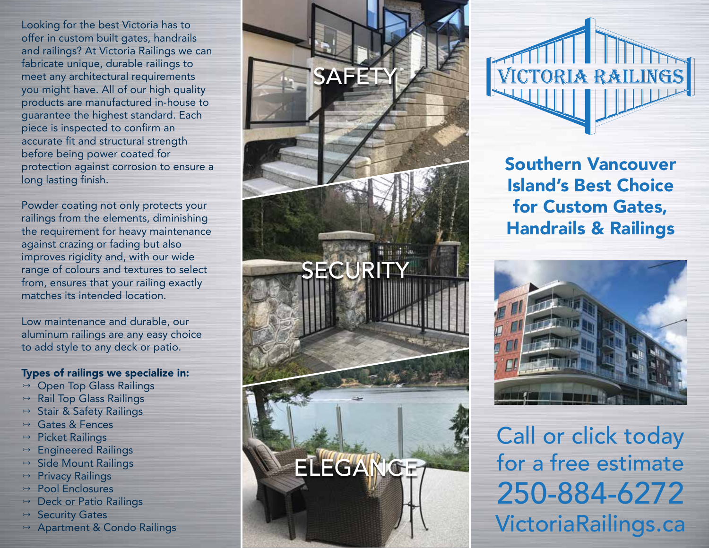Looking for the best Victoria has to offer in custom built gates, handrails and railings? At Victoria Railings we can fabricate unique, durable railings to meet any architectural requirements you might have. All of our high quality products are manufactured in-house to guarantee the highest standard. Each piece is inspected to confirm an accurate fit and structural strength before being power coated for protection against corrosion to ensure a long lasting finish.

Powder coating not only protects your railings from the elements, diminishing the requirement for heavy maintenance against crazing or fading but also improves rigidity and, with our wide range of colours and textures to select from, ensures that your railing exactly matches its intended location.

Low maintenance and durable, our aluminum railings are any easy choice to add style to any deck or patio.

Types of railings we specialize in:

- **Open Top Glass Railings**
- $\rightarrow$  Rail Top Glass Railings
- **Stair & Safety Railings**
- Gates & Fences
- $\rightarrow$  Picket Railings
- $\rightarrow$  Engineered Railings
- $\rightarrow$  Side Mount Railings
- $\rightarrow$  Privacy Railings
- $\rightarrow$  Pool Enclosures
- **Deck or Patio Railings**
- $\rightarrow$  Security Gates
- $\rightarrow$  Apartment & Condo Railings



VICTORIA RAILINGS

Southern Vancouver Island's Best Choice for Custom Gates, Handrails & Railings



Call or click today for a free estimate 250-884-6272 VictoriaRailings.ca